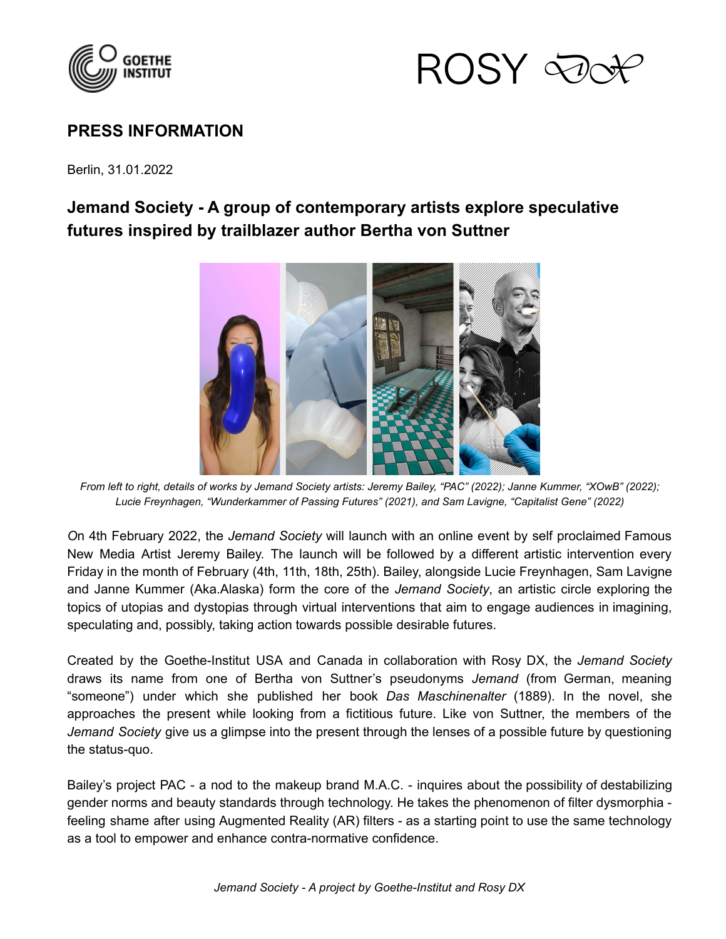



## **PRESS INFORMATION**

Berlin, 31.01.2022

## **Jemand Society - A group of contemporary artists explore speculative futures inspired by trailblazer author Bertha von Suttner**



*From left to right, details of works by Jemand Society artists: Jeremy Bailey, "PAC" (2022); Janne Kummer, "XOwB" (2022); Lucie Freynhagen, "Wunderkammer of Passing Futures" (2021), and Sam Lavigne, "Capitalist Gene" (2022)*

*O*n 4th February 2022, the *Jemand Society* will launch with an online event by self proclaimed Famous New Media Artist Jeremy Bailey. The launch will be followed by a different artistic intervention every Friday in the month of February (4th, 11th, 18th, 25th). Bailey, alongside Lucie Freynhagen, Sam Lavigne and Janne Kummer (Aka.Alaska) form the core of the *Jemand Society*, an artistic circle exploring the topics of utopias and dystopias through virtual interventions that aim to engage audiences in imagining, speculating and, possibly, taking action towards possible desirable futures.

Created by the Goethe-Institut USA and Canada in collaboration with Rosy DX, the *Jemand Society* draws its name from one of Bertha von Suttner's pseudonyms *Jemand* (from German, meaning "someone") under which she published her book *Das Maschinenalter* (1889). In the novel, she approaches the present while looking from a fictitious future. Like von Suttner, the members of the *Jemand Society* give us a glimpse into the present through the lenses of a possible future by questioning the status-quo.

Bailey's project PAC - a nod to the makeup brand M.A.C. - inquires about the possibility of destabilizing gender norms and beauty standards through technology. He takes the phenomenon of filter dysmorphia feeling shame after using Augmented Reality (AR) filters - as a starting point to use the same technology as a tool to empower and enhance contra-normative confidence.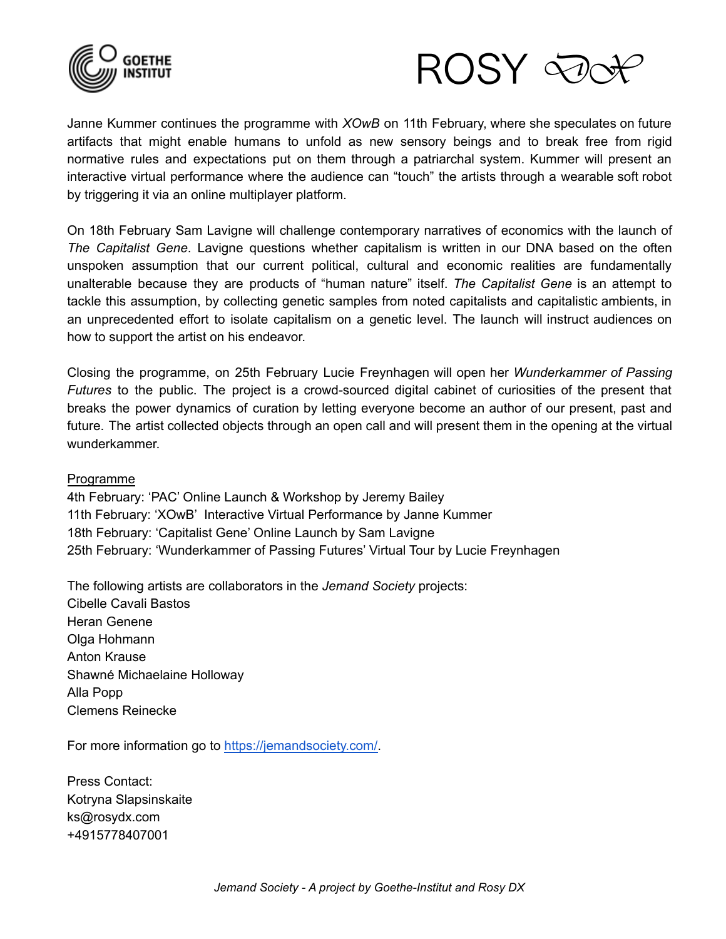



Janne Kummer continues the programme with *XOwB* on 11th February, where she speculates on future artifacts that might enable humans to unfold as new sensory beings and to break free from rigid normative rules and expectations put on them through a patriarchal system. Kummer will present an interactive virtual performance where the audience can "touch" the artists through a wearable soft robot by triggering it via an online multiplayer platform.

On 18th February Sam Lavigne will challenge contemporary narratives of economics with the launch of *The Capitalist Gene*. Lavigne questions whether capitalism is written in our DNA based on the often unspoken assumption that our current political, cultural and economic realities are fundamentally unalterable because they are products of "human nature" itself. *The Capitalist Gene* is an attempt to tackle this assumption, by collecting genetic samples from noted capitalists and capitalistic ambients, in an unprecedented effort to isolate capitalism on a genetic level. The launch will instruct audiences on how to support the artist on his endeavor.

Closing the programme, on 25th February Lucie Freynhagen will open her *Wunderkammer of Passing Futures* to the public. The project is a crowd-sourced digital cabinet of curiosities of the present that breaks the power dynamics of curation by letting everyone become an author of our present, past and future. The artist collected objects through an open call and will present them in the opening at the virtual wunderkammer.

## Programme

4th February: 'PAC' Online Launch & Workshop by Jeremy Bailey 11th February: 'XOwB' Interactive Virtual Performance by Janne Kummer 18th February: 'Capitalist Gene' Online Launch by Sam Lavigne 25th February: 'Wunderkammer of Passing Futures' Virtual Tour by Lucie Freynhagen

The following artists are collaborators in the *Jemand Society* projects: Cibelle Cavali Bastos Heran Genene Olga Hohmann Anton Krause Shawné Michaelaine Holloway Alla Popp Clemens Reinecke

For more information go to [https://jemandsociety.com/.](https://jemandsociety.com/)

Press Contact: Kotryna Slapsinskaite ks@rosydx.com +4915778407001